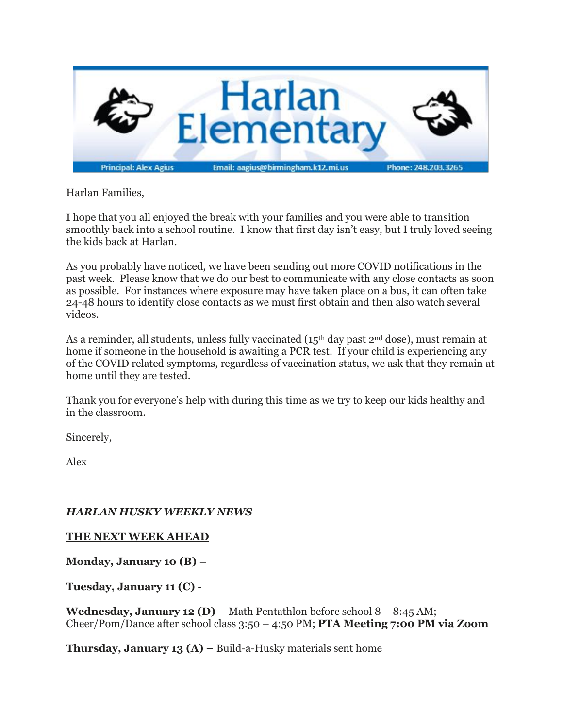

Harlan Families,

I hope that you all enjoyed the break with your families and you were able to transition smoothly back into a school routine. I know that first day isn't easy, but I truly loved seeing the kids back at Harlan.

As you probably have noticed, we have been sending out more COVID notifications in the past week. Please know that we do our best to communicate with any close contacts as soon as possible. For instances where exposure may have taken place on a bus, it can often take 24-48 hours to identify close contacts as we must first obtain and then also watch several videos.

As a reminder, all students, unless fully vaccinated (15<sup>th</sup> day past  $2<sup>nd</sup>$  dose), must remain at home if someone in the household is awaiting a PCR test. If your child is experiencing any of the COVID related symptoms, regardless of vaccination status, we ask that they remain at home until they are tested.

Thank you for everyone's help with during this time as we try to keep our kids healthy and in the classroom.

Sincerely,

Alex

## *HARLAN HUSKY WEEKLY NEWS*

#### **THE NEXT WEEK AHEAD**

**Monday, January 10 (B) –**

**Tuesday, January 11 (C) -**

**Wednesday, January 12 (D) –** Math Pentathlon before school 8 – 8:45 AM; Cheer/Pom/Dance after school class 3:50 – 4:50 PM; **PTA Meeting 7:00 PM via Zoom**

**Thursday, January 13 (A) –** Build-a-Husky materials sent home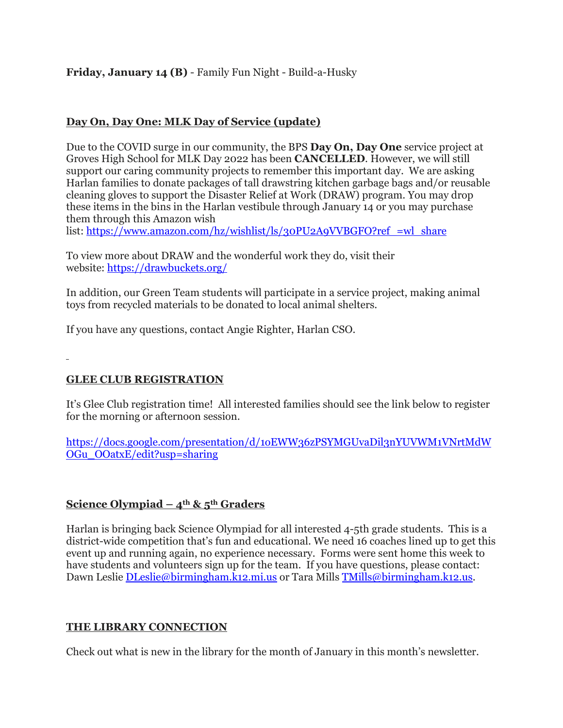## **Friday, January 14 (B)** - Family Fun Night - Build-a-Husky

#### **Day On, Day One: MLK Day of Service (update)**

Due to the COVID surge in our community, the BPS **Day On, Day One** service project at Groves High School for MLK Day 2022 has been **CANCELLED**. However, we will still support our caring community projects to remember this important day. We are asking Harlan families to donate packages of tall drawstring kitchen garbage bags and/or reusable cleaning gloves to support the Disaster Relief at Work (DRAW) program. You may drop these items in the bins in the Harlan vestibule through January 14 or you may purchase them through this Amazon wish

list: [https://www.amazon.com/hz/wishlist/ls/30PU2A9VVBGFO?ref\\_=wl\\_share](https://www.amazon.com/hz/wishlist/ls/30PU2A9VVBGFO?ref_=wl_share)

To view more about DRAW and the wonderful work they do, visit their website: <https://drawbuckets.org/>

In addition, our Green Team students will participate in a service project, making animal toys from recycled materials to be donated to local animal shelters.

If you have any questions, contact Angie Righter, Harlan CSO.

#### **GLEE CLUB REGISTRATION**

It's Glee Club registration time! All interested families should see the link below to register for the morning or afternoon session.

[https://docs.google.com/presentation/d/1oEWW36zPSYMGUvaDil3nYUVWM1VNrtMdW](https://docs.google.com/presentation/d/1oEWW36zPSYMGUvaDil3nYUVWM1VNrtMdWOGu_OOatxE/edit?usp=sharing) [OGu\\_OOatxE/edit?usp=sharing](https://docs.google.com/presentation/d/1oEWW36zPSYMGUvaDil3nYUVWM1VNrtMdWOGu_OOatxE/edit?usp=sharing)

#### **<u>Science Olympiad –**  $4^{\text{th}}$  **&**  $5^{\text{th}}$  **Graders</u>**

Harlan is bringing back Science Olympiad for all interested 4-5th grade students. This is a district-wide competition that's fun and educational. We need 16 coaches lined up to get this event up and running again, no experience necessary. Forms were sent home this week to have students and volunteers sign up for the team. If you have questions, please contact: Dawn Leslie [DLeslie@birmingham.k12.mi.us](mailto:DLeslie@birmingham.k12.mi.us) or Tara Mills [TMills@birmingham.k12.us.](mailto:TMills@birmingham.k12.us)

#### **THE LIBRARY CONNECTION**

Check out what is new in the library for the month of January in this month's newsletter.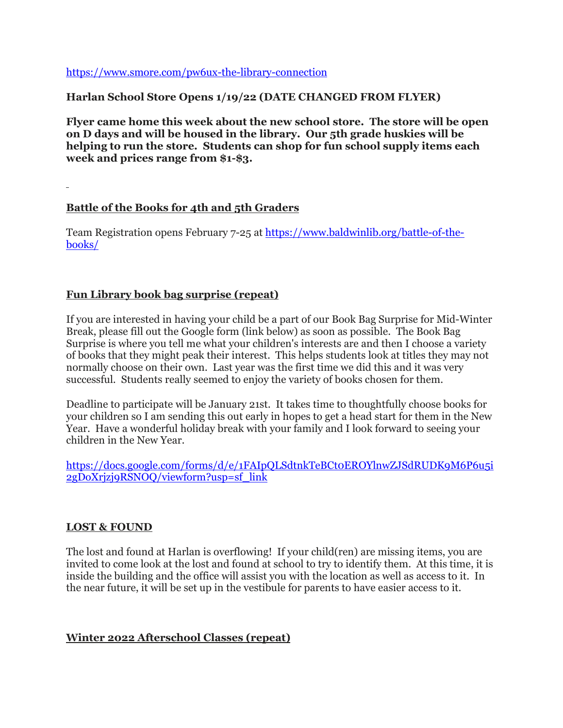<https://www.smore.com/pw6ux-the-library-connection>

### **Harlan School Store Opens 1/19/22 (DATE CHANGED FROM FLYER)**

**Flyer came home this week about the new school store. The store will be open on D days and will be housed in the library. Our 5th grade huskies will be helping to run the store. Students can shop for fun school supply items each week and prices range from \$1-\$3.**

### **Battle of the Books for 4th and 5th Graders**

Team Registration opens February 7-25 at [https://www.baldwinlib.org/battle-of-the](https://www.baldwinlib.org/battle-of-the-books/)[books/](https://www.baldwinlib.org/battle-of-the-books/)

### **Fun Library book bag surprise (repeat)**

If you are interested in having your child be a part of our Book Bag Surprise for Mid-Winter Break, please fill out the Google form (link below) as soon as possible. The Book Bag Surprise is where you tell me what your children's interests are and then I choose a variety of books that they might peak their interest. This helps students look at titles they may not normally choose on their own. Last year was the first time we did this and it was very successful. Students really seemed to enjoy the variety of books chosen for them.

Deadline to participate will be January 21st. It takes time to thoughtfully choose books for your children so I am sending this out early in hopes to get a head start for them in the New Year. Have a wonderful holiday break with your family and I look forward to seeing your children in the New Year.

[https://docs.google.com/forms/d/e/1FAIpQLSdtnkTeBCt0EROYlnwZJSdRUDK9M6P6u5i](https://docs.google.com/forms/d/e/1FAIpQLSdtnkTeBCt0EROYlnwZJSdRUDK9M6P6u5i2gDoXrjzj9RSNOQ/viewform?usp=sf_link) [2gDoXrjzj9RSNOQ/viewform?usp=sf\\_link](https://docs.google.com/forms/d/e/1FAIpQLSdtnkTeBCt0EROYlnwZJSdRUDK9M6P6u5i2gDoXrjzj9RSNOQ/viewform?usp=sf_link)

#### **LOST & FOUND**

The lost and found at Harlan is overflowing! If your child(ren) are missing items, you are invited to come look at the lost and found at school to try to identify them. At this time, it is inside the building and the office will assist you with the location as well as access to it. In the near future, it will be set up in the vestibule for parents to have easier access to it.

#### **Winter 2022 Afterschool Classes (repeat)**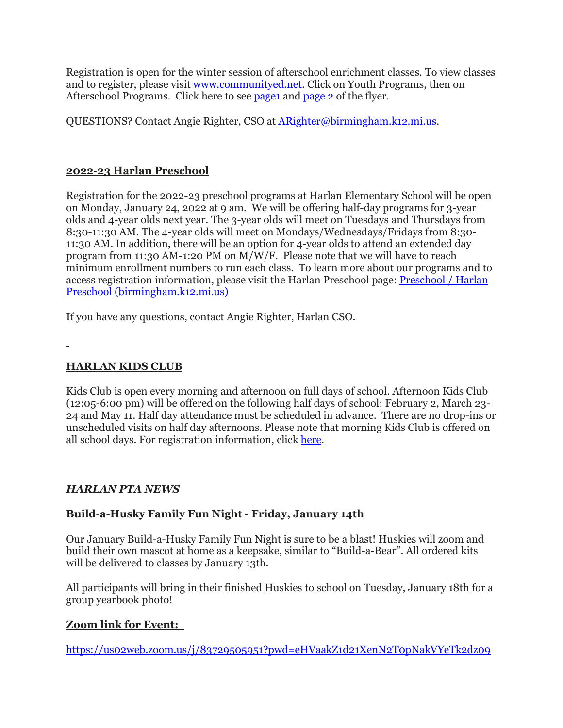Registration is open for the winter session of afterschool enrichment classes. To view classes and to register, please visit [www.communityed.net.](http://www.communityed.net/) Click on Youth Programs, then on Afterschool Programs. Click here to see [page1](https://drive.google.com/file/d/1e-nzkKiQhFnkISaMac3jzKpiGu0MdP9l/view?usp=sharing) and [page](https://drive.google.com/file/d/1TEnLMe6CWwCaku18tljkvkUjii-DiFUb/view?usp=sharing) 2 of the flyer.

QUESTIONS? Contact Angie Righter, CSO at [ARighter@birmingham.k12.mi.us.](mailto:ARighter@birmingham.k12.mi.us)

## **2022-23 Harlan Preschool**

Registration for the 2022-23 preschool programs at Harlan Elementary School will be open on Monday, January 24, 2022 at 9 am. We will be offering half-day programs for 3-year olds and 4-year olds next year. The 3-year olds will meet on Tuesdays and Thursdays from 8:30-11:30 AM. The 4-year olds will meet on Mondays/Wednesdays/Fridays from 8:30- 11:30 AM. In addition, there will be an option for 4-year olds to attend an extended day program from 11:30 AM-1:20 PM on M/W/F. Please note that we will have to reach minimum enrollment numbers to run each class. To learn more about our programs and to access registration information, please visit the Harlan Preschool page: [Preschool](https://www.birmingham.k12.mi.us/Harlanpreschool) / Harlan Preschool [\(birmingham.k12.mi.us\)](https://www.birmingham.k12.mi.us/Harlanpreschool)

If you have any questions, contact Angie Righter, Harlan CSO.

## **HARLAN KIDS CLUB**

Kids Club is open every morning and afternoon on full days of school. Afternoon Kids Club (12:05-6:00 pm) will be offered on the following half days of school: February 2, March 23- 24 and May 11. Half day attendance must be scheduled in advance. There are no drop-ins or unscheduled visits on half day afternoons. Please note that morning Kids Club is offered on all school days. For registration information, click [here.](https://www.birmingham.k12.mi.us/cms/lib/MI01908619/Centricity/Domain/494/2021-2022%20KIDS%20CLUB%20registration%20instructions.pdf)

## *HARLAN PTA NEWS*

## **Build-a-Husky Family Fun Night - Friday, January 14th**

Our January Build-a-Husky Family Fun Night is sure to be a blast! Huskies will zoom and build their own mascot at home as a keepsake, similar to "Build-a-Bear". All ordered kits will be delivered to classes by January 13th.

All participants will bring in their finished Huskies to school on Tuesday, January 18th for a group yearbook photo!

## **Zoom link for Event:**

<https://us02web.zoom.us/j/83729505951?pwd=eHVaakZ1d21XenN2T0pNakVYeTk2dz09>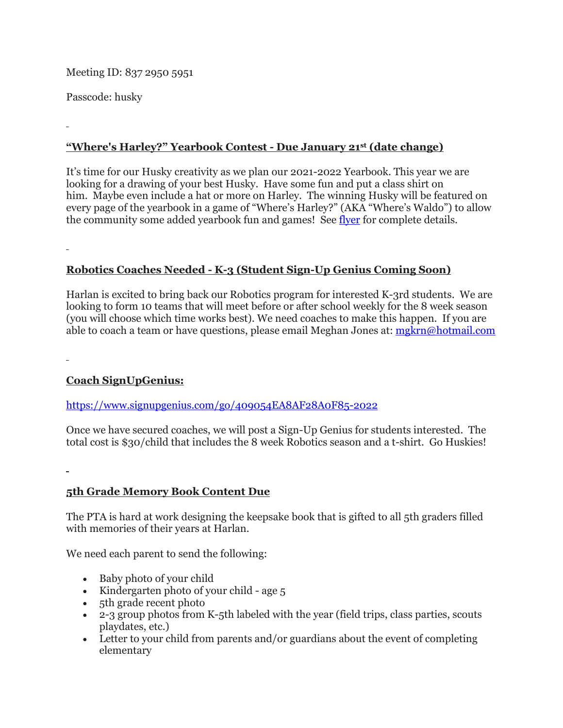Meeting ID: 837 2950 5951

Passcode: husky

# **"Where's Harley?" Yearbook Contest - Due January 21st (date change)**

It's time for our Husky creativity as we plan our 2021-2022 Yearbook. This year we are looking for a drawing of your best Husky. Have some fun and put a class shirt on him. Maybe even include a hat or more on Harley. The winning Husky will be featured on every page of the yearbook in a game of "Where's Harley?" (AKA "Where's Waldo") to allow the community some added yearbook fun and games! See [flyer](https://drive.google.com/file/d/1pmteOuzJ_xwDduy2TeqZfrYAaBpjtIZK/view?usp=sharing) for complete details.

## **Robotics Coaches Needed - K-3 (Student Sign-Up Genius Coming Soon)**

Harlan is excited to bring back our Robotics program for interested K-3rd students. We are looking to form 10 teams that will meet before or after school weekly for the 8 week season (you will choose which time works best). We need coaches to make this happen. If you are able to coach a team or have questions, please email Meghan Jones at: [mgkrn@hotmail.com](mailto:mgkrn@hotmail.com)

## **Coach SignUpGenius:**

#### <https://www.signupgenius.com/go/409054EA8AF28A0F85-2022>

Once we have secured coaches, we will post a Sign-Up Genius for students interested. The total cost is \$30/child that includes the 8 week Robotics season and a t-shirt. Go Huskies!

## **5th Grade Memory Book Content Due**

The PTA is hard at work designing the keepsake book that is gifted to all 5th graders filled with memories of their years at Harlan.

We need each parent to send the following:

- Baby photo of your child
- Kindergarten photo of your child age 5
- 5th grade recent photo
- 2-3 group photos from K-5th labeled with the year (field trips, class parties, scouts playdates, etc.)
- Letter to your child from parents and/or guardians about the event of completing elementary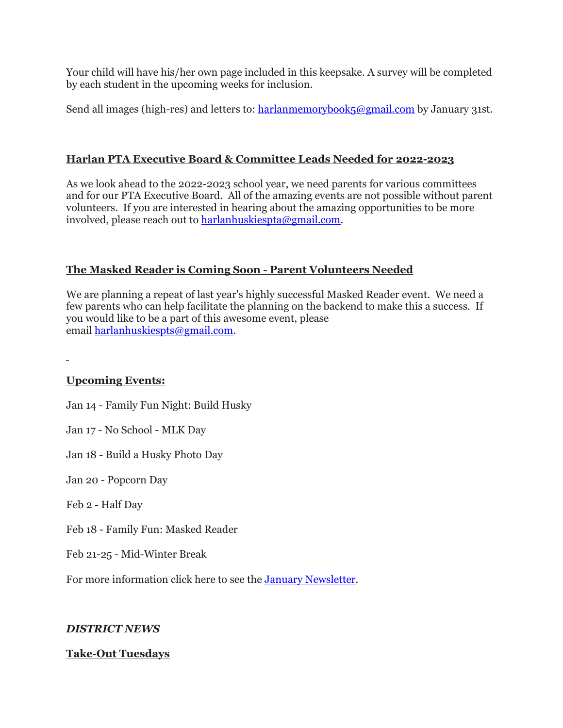Your child will have his/her own page included in this keepsake. A survey will be completed by each student in the upcoming weeks for inclusion.

Send all images (high-res) and letters to: [harlanmemorybook5@gmail.com](mailto:harlanmemorybook5@gmail.com) by January 31st.

### **Harlan PTA Executive Board & Committee Leads Needed for 2022-2023**

As we look ahead to the 2022-2023 school year, we need parents for various committees and for our PTA Executive Board. All of the amazing events are not possible without parent volunteers. If you are interested in hearing about the amazing opportunities to be more involved, please reach out to [harlanhuskiespta@gmail.com.](mailto:harlanhuskiespta@gmail.com)

### **The Masked Reader is Coming Soon - Parent Volunteers Needed**

We are planning a repeat of last year's highly successful Masked Reader event. We need a few parents who can help facilitate the planning on the backend to make this a success. If you would like to be a part of this awesome event, please email [harlanhuskiespts@gmail.com.](mailto:harlanhuskiespts@gmail.com)

#### **Upcoming Events:**

Jan 14 - Family Fun Night: Build Husky

Jan 17 - No School - MLK Day

Jan 18 - Build a Husky Photo Day

Jan 20 - Popcorn Day

Feb 2 - Half Day

Feb 18 - Family Fun: Masked Reader

Feb 21-25 - Mid-Winter Break

For more information click here to see the January [Newsletter.](https://drive.google.com/file/d/1jRsbb4fcJ0T6792c7yWHkafSWiyYasJ4/view?usp=sharing)

#### *DISTRICT NEWS*

#### **Take-Out Tuesdays**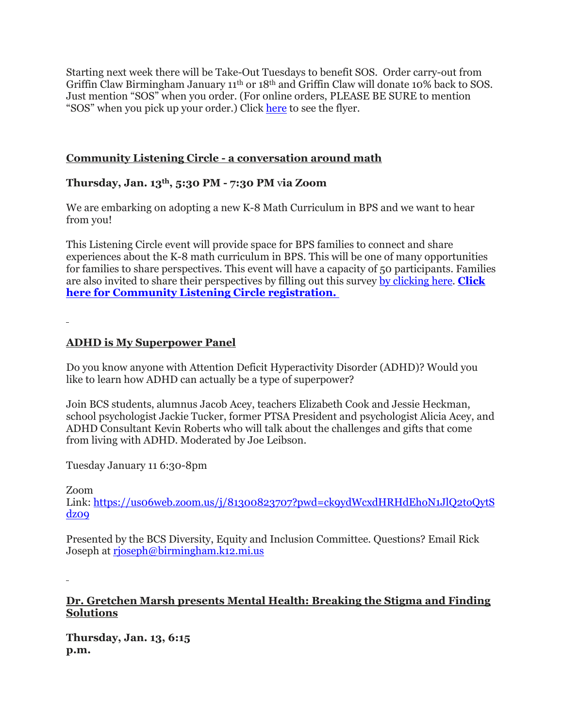Starting next week there will be Take-Out Tuesdays to benefit SOS. Order carry-out from Griffin Claw Birmingham January 11th or 18th and Griffin Claw will donate 10% back to SOS. Just mention "SOS" when you order. (For online orders, PLEASE BE SURE to mention "SOS" when you pick up your order.) Click [here](https://drive.google.com/file/d/1aFpYwCwue1KD_dXVfDIUeRAUXSLI80d_/view?usp=sharing) to see the flyer.

## **Community Listening Circle - a conversation around math**

## **Thursday, Jan. 13th, 5:30 PM - 7:30 PM** v**ia Zoom**

We are embarking on adopting a new K-8 Math Curriculum in BPS and we want to hear from you!

This Listening Circle event will provide space for BPS families to connect and share experiences about the K-8 math curriculum in BPS. This will be one of many opportunities for families to share perspectives. This event will have a capacity of 50 participants. Families are also invited to share their perspectives by filling out this survey by [clicking](https://birminghampublic.co1.qualtrics.com/jfe/form/SV_9oCAacwEgwJ7h0W) here. **[Click](https://docs.google.com/forms/d/e/1FAIpQLSdbp4xJUxWjMPr9xc2v1nyG8NrGXqDRbxinUsnnSlD8Lsha7A/viewform) here for Community Listening Circle [registration.](https://docs.google.com/forms/d/e/1FAIpQLSdbp4xJUxWjMPr9xc2v1nyG8NrGXqDRbxinUsnnSlD8Lsha7A/viewform)**

### **ADHD is My Superpower Panel**

Do you know anyone with Attention Deficit Hyperactivity Disorder (ADHD)? Would you like to learn how ADHD can actually be a type of superpower?

Join BCS students, alumnus Jacob Acey, teachers Elizabeth Cook and Jessie Heckman, school psychologist Jackie Tucker, former PTSA President and psychologist Alicia Acey, and ADHD Consultant Kevin Roberts who will talk about the challenges and gifts that come from living with ADHD. Moderated by Joe Leibson.

Tuesday January 11 6:30-8pm

Zoom

Link: [https://us06web.zoom.us/j/81300823707?pwd=ck9ydWcxdHRHdEhoN1JlQ2toQytS](https://us06web.zoom.us/j/81300823707?pwd=ck9ydWcxdHRHdEhoN1JlQ2toQytSdz09) [dz09](https://us06web.zoom.us/j/81300823707?pwd=ck9ydWcxdHRHdEhoN1JlQ2toQytSdz09)

Presented by the BCS Diversity, Equity and Inclusion Committee. Questions? Email Rick Joseph at [rjoseph@birmingham.k12.mi.us](mailto:rjoseph@birmingham.k12.mi.us)

**Dr. Gretchen Marsh presents Mental Health: Breaking the Stigma and Finding Solutions** 

**Thursday, Jan. 13, 6:15 p.m.**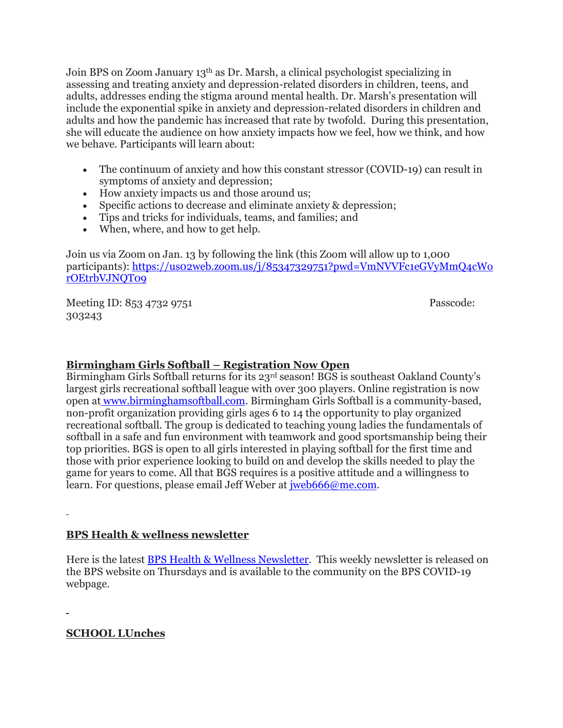Join BPS on Zoom January 13th as Dr. Marsh, a clinical psychologist specializing in assessing and treating anxiety and depression-related disorders in children, teens, and adults, addresses ending the stigma around mental health. Dr. Marsh's presentation will include the exponential spike in anxiety and depression-related disorders in children and adults and how the pandemic has increased that rate by twofold. During this presentation, she will educate the audience on how anxiety impacts how we feel, how we think, and how we behave. Participants will learn about:

- The continuum of anxiety and how this constant stressor (COVID-19) can result in symptoms of anxiety and depression;
- How anxiety impacts us and those around us;
- Specific actions to decrease and eliminate anxiety & depression;
- Tips and tricks for individuals, teams, and families; and
- When, where, and how to get help.

Join us via Zoom on Jan. 13 by following the link (this Zoom will allow up to 1,000 participants): [https://us02web.zoom.us/j/85347329751?pwd=VmNVVFc1eGVyMmQ4cWo](https://us02web.zoom.us/j/85347329751?pwd=VmNVVFc1eGVyMmQ4cWorOEtrbVJNQT09) [rOEtrbVJNQT09](https://us02web.zoom.us/j/85347329751?pwd=VmNVVFc1eGVyMmQ4cWorOEtrbVJNQT09)

Meeting ID: 853 4732 9751 Passcode: 303243

### **Birmingham Girls Softball – Registration Now Open**

Birmingham Girls Softball returns for its 23rd season! BGS is southeast Oakland County's largest girls recreational softball league with over 300 players. Online registration is now open at [www.birminghamsoftball.com.](http://www.birminghamsoftball.com/) Birmingham Girls Softball is a community-based, non-profit organization providing girls ages 6 to 14 the opportunity to play organized recreational softball. The group is dedicated to teaching young ladies the fundamentals of softball in a safe and fun environment with teamwork and good sportsmanship being their top priorities. BGS is open to all girls interested in playing softball for the first time and those with prior experience looking to build on and develop the skills needed to play the game for years to come. All that BGS requires is a positive attitude and a willingness to learn. For questions, please email Jeff Weber at [jweb666@me.com.](mailto:jweb666@me.com)

## **BPS Health & wellness newsletter**

Here is the latest BPS Health & Wellness [Newsletter.](https://drive.google.com/file/d/1gUuSR6LiLovIFvdCz5WiIBHyPjctuxxq/view?usp=sharing) This weekly newsletter is released on the BPS website on Thursdays and is available to the community on the BPS COVID-19 webpage.

**SCHOOL LUnches**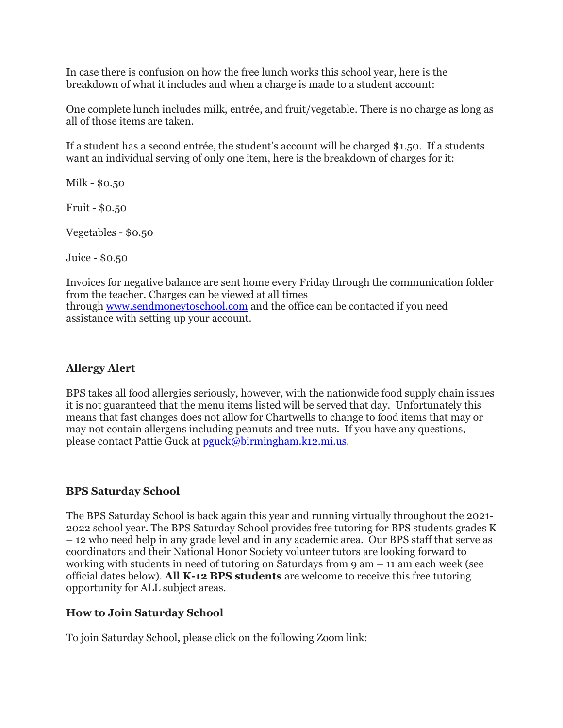In case there is confusion on how the free lunch works this school year, here is the breakdown of what it includes and when a charge is made to a student account:

One complete lunch includes milk, entrée, and fruit/vegetable. There is no charge as long as all of those items are taken.

If a student has a second entrée, the student's account will be charged \$1.50. If a students want an individual serving of only one item, here is the breakdown of charges for it:

Milk - \$0.50

Fruit - \$0.50

Vegetables - \$0.50

Juice - \$0.50

Invoices for negative balance are sent home every Friday through the communication folder from the teacher. Charges can be viewed at all times through [www.sendmoneytoschool.com](http://www.sendmoneytoschool.com/) and the office can be contacted if you need assistance with setting up your account.

## **Allergy Alert**

BPS takes all food allergies seriously, however, with the nationwide food supply chain issues it is not guaranteed that the menu items listed will be served that day. Unfortunately this means that fast changes does not allow for Chartwells to change to food items that may or may not contain allergens including peanuts and tree nuts. If you have any questions, please contact Pattie Guck at [pguck@birmingham.k12.mi.us.](mailto:pguck@birmingham.k12.mi.us)

## **BPS Saturday School**

The BPS Saturday School is back again this year and running virtually throughout the 2021- 2022 school year. The BPS Saturday School provides free tutoring for BPS students grades K – 12 who need help in any grade level and in any academic area. Our BPS staff that serve as coordinators and their National Honor Society volunteer tutors are looking forward to working with students in need of tutoring on Saturdays from 9 am – 11 am each week (see official dates below). **All K-12 BPS students** are welcome to receive this free tutoring opportunity for ALL subject areas.

#### **How to Join Saturday School**

To join Saturday School, please click on the following Zoom link: